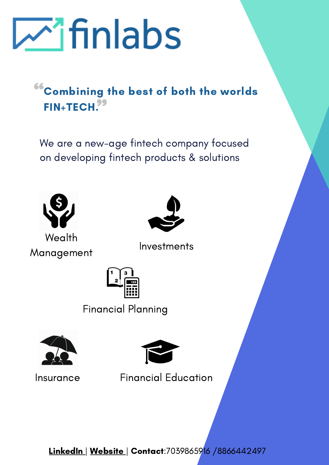

## Combining the best of both the worlds FIN+TECH.<sup>95</sup>

We are a new-age fintech company focused on developing fintech products & solutions



**Wealth** Management



Investments



Financial Planning





Insurance Financial Education

[LinkedIn](https://www.linkedin.com/company/14438243) | [Website](https://finlabsindia.com/) | Contact:7039865916 /8866442497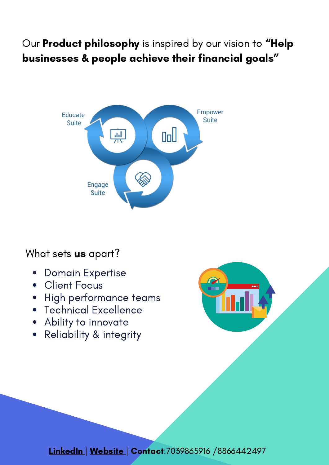## Our Product philosophy is inspired by our vision to "Help businesses & people achieve their financial goals "



### What sets **us** apart?

- Domain Expertise  $\bullet$
- **Client Focus**  $\bullet$
- High performance teams  $\bullet$
- Technical Excellence
- Ability to innovate
- Reliability & integrity



**[LinkedIn](https://www.linkedin.com/company/14438243) | [Website](https://finlabsindia.com/) | Contact:**7039865916 /8866442497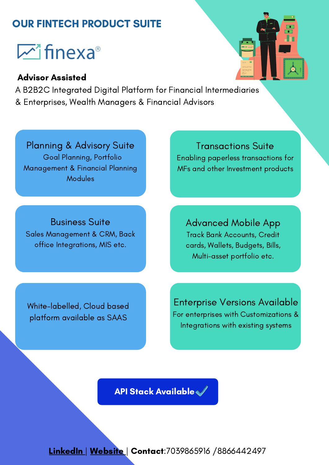## OUR FINTECH PRODUCT SUITE

# $\mathbb{Z}$  finexa<sup>®</sup>

#### Advisor Assisted

A B2B2C Integrated Digital Platform for Financial Intermediaries & Enterprises, Wealth Managers & Financial Advisors

Planning & Advisory Suite Goal Planning, Portfolio Management & Financial Planning Modules

Business Suite Sales Management & CRM, Back office Integrations, MIS etc.

Transactions Suite Enabling paperless transactions for MFs and other Investment products

Advanced Mobile App Track Bank Accounts, Credit cards, Wallets, Budgets, Bills, Multi-asset portfolio etc.

White-labelled, Cloud based platform available as SAAS

Enterprise Versions Available For enterprises with Customizations & Integrations with existing systems

API Stack Available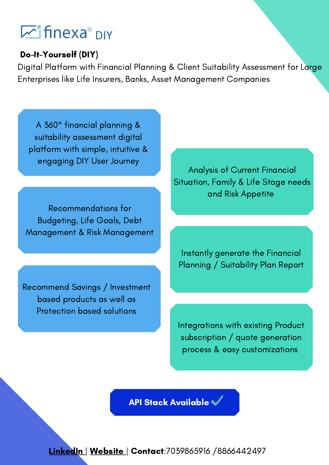## **M** finexa® <sub>DIY</sub>

#### Do-It-Yourself (DIY)

Digital Platform with Financial Planning & Client Suitability Assessment for Large Enterprises like Life Insurers, Banks, Asset Management Companies

A 360° financial planning & suitability assessment digital platform with simple, intuitive & engaging DIY User Journey

Recommendations for Budgeting, Life Goals, Debt Management & Risk Management

Recommend Savings / Investment based products as well as Protection based solutions

Analysis of Current Financial Situation, Family & Life Stage needs and Risk Appetite

Instantly generate the Financial Planning / Suitability Plan Report

Integrations with existing Product subscription / quote generation process & easy customizations

API Stack Available

**[LinkedIn](https://www.linkedin.com/company/14438243) | [Website](https://finlabsindia.com/) | Contact:**7039865916 /8866442497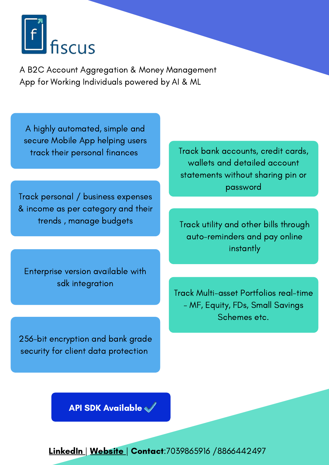

A B2C Account Aggregation & Money Management App for Working Individuals powered by AI & ML

A highly automated, simple and secure Mobile App helping users track their personal finances

Track personal / business expenses & income as per category and their

Enterprise version available with sdk integration

256-bit encryption and bank grade security for client data protection

Track bank accounts, credit cards, wallets and detailed account statements without sharing pin or password

trends , manage budgets Track utility and other bills through auto-reminders and pay online instantly

> Track Multi-asset Portfolios real-time - MF, Equity, FDs, Small Savings Schemes etc.

API SDK Available

[LinkedIn](https://www.linkedin.com/company/14438243) | [Website](https://finlabsindia.com/) | Contact: 7039865916 / 8866442497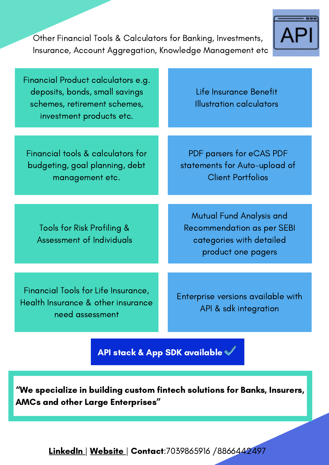Other Financial Tools & Calculators for Banking, Investments, Insurance, Account Aggregation, Knowledge Management etc



| Financial Product calculators e.g.<br>deposits, bonds, small savings<br>schemes, retirement schemes,<br>investment products etc. | Life Insurance Benefit<br><b>Illustration calculators</b>                                                              |
|----------------------------------------------------------------------------------------------------------------------------------|------------------------------------------------------------------------------------------------------------------------|
| Financial tools & calculators for<br>budgeting, goal planning, debt<br>management etc.                                           | PDF parsers for eCAS PDF<br>statements for Auto-upload of<br><b>Client Portfolios</b>                                  |
| Tools for Risk Profiling &<br><b>Assessment of Individuals</b>                                                                   | <b>Mutual Fund Analysis and</b><br><b>Recommendation as per SEBI</b><br>categories with detailed<br>product one pagers |
| Financial Tools for Life Insurance,<br>Health Insurance & other insurance<br>need assessment                                     | Enterprise versions available with<br>API & sdk integration                                                            |
|                                                                                                                                  |                                                                                                                        |

API stack & App SDK available

"We specialize in building custom fintech solutions for Banks, Insurers, AMCs and other Large Enterprises "

[LinkedIn](https://www.linkedin.com/company/14438243) | [Website](https://finlabsindia.com/) | Contact: 7039865916 / 8866442497